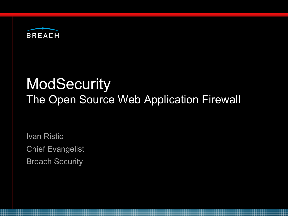

### **ModSecurity** The Open Source Web Application Firewall

Ivan Ristic Chief Evangelist Breach Security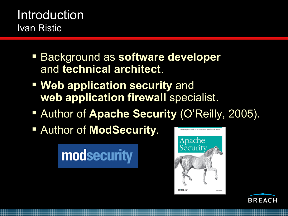#### Introduction Ivan Ristic

- **Background as software developer** and **technical architect**.
- **Web application security** and **web application firewall** specialist.
- Author of **Apache Security** (O'Reilly, 2005).
- Author of **ModSecurity**.

modsecurity



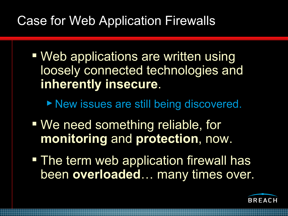### Case for Web Application Firewalls

- Web applications are written using loosely connected technologies and **inherently insecure**.
	- ► New issues are still being discovered.
- We need something reliable, for **monitoring** and **protection**, now.
- **The term web application firewall has** been **overloaded**… many times over.

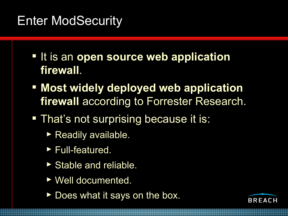# Enter ModSecurity

- **If is an open source web application firewall**.
- **Most widely deployed web application firewall** according to Forrester Research.
- **That's not surprising because it is:** 
	- ► Readily available.
	- ► Full-featured.
	- ► Stable and reliable.
	- ► Well documented.
	- ► Does what it says on the box.

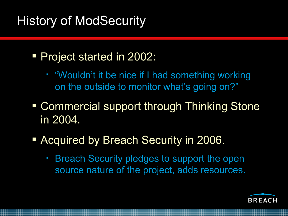# History of ModSecurity

#### **Project started in 2002:**

- "Wouldn't it be nice if I had something working on the outside to monitor what's going on?"
- **Example 2 Commercial support through Thinking Stone** in 2004.
- **Acquired by Breach Security in 2006.** 
	- Breach Security pledges to support the open source nature of the project, adds resources.

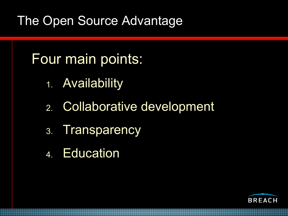# The Open Source Advantage

# Four main points:

- 1. Availability
- 2. Collaborative development
- 3. Transparency
- 4. Education

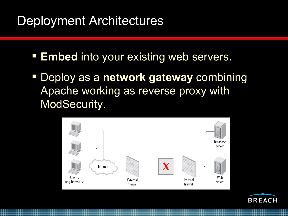### Deployment Architectures

- **Embed** into your existing web servers.
- Deploy as a **network gateway** combining Apache working as reverse proxy with ModSecurity.



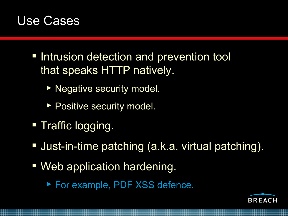### Use Cases

- **Intrusion detection and prevention tool** that speaks HTTP natively.
	- ► Negative security model.
	- ► Positive security model.
- **Traffic logging.**
- **Just-in-time patching (a.k.a. virtual patching).**
- Web application hardening.
	- ► For example, PDF XSS defence.

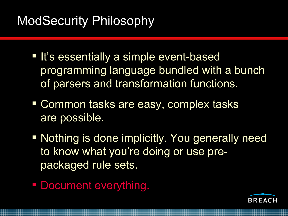# ModSecurity Philosophy

- **If's essentially a simple event-based** programming language bundled with a bunch of parsers and transformation functions.
- Common tasks are easy, complex tasks are possible.
- **Nothing is done implicitly. You generally need** to know what you're doing or use prepackaged rule sets.
- **Document everything.**

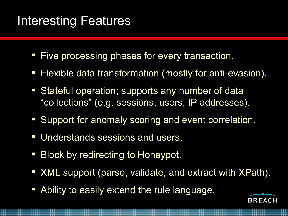# Interesting Features

- **Five processing phases for every transaction.**
- **Fiexible data transformation (mostly for anti-evasion).**
- Stateful operation; supports any number of data "collections" (e.g. sessions, users, IP addresses).
- **Support for anomaly scoring and event correlation.**
- **Understands sessions and users.**
- **Block by redirecting to Honeypot.**
- **XML** support (parse, validate, and extract with XPath).
- **Ability to easily extend the rule language.**

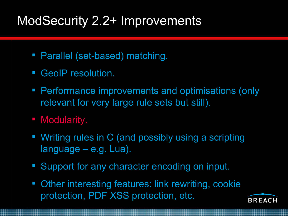### ModSecurity 2.2+ Improvements

- Parallel (set-based) matching.
- GeoIP resolution.
- **Performance improvements and optimisations (only** relevant for very large rule sets but still).
- **Modularity.**
- Writing rules in C (and possibly using a scripting language – e.g. Lua).
- **Support for any character encoding on input.**
- **Other interesting features: link rewriting, cookie** protection, PDF XSS protection, etc.

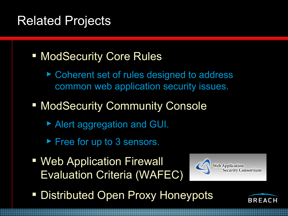### Related Projects

#### **- ModSecurity Core Rules**

- ► Coherent set of rules designed to address common web application security issues.
- **ModSecurity Community Console** 
	- ► Alert aggregation and GUI.
	- ► Free for up to 3 sensors.
- Web Application Firewall Evaluation Criteria (WAFEC)



**- Distributed Open Proxy Honeypots**